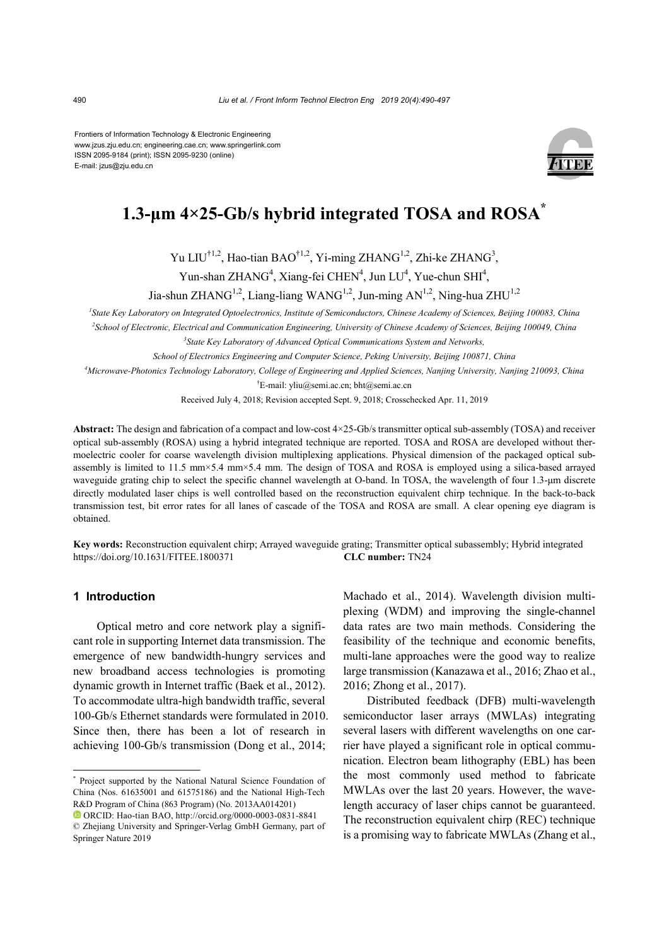Frontiers of Information Technology & Electronic Engineering www.jzus.zju.edu.cn; engineering.cae.cn; www.springerlink.com ISSN 2095-9184 (print); ISSN 2095-9230 (online) E-mail: jzus@zju.edu.cn



# **1.3-μm 4×25-Gb/s hybrid integrated TOSA and ROSA\***

Yu LIU<sup>†1,2</sup>, Hao-tian BAO<sup>†1,2</sup>, Yi-ming ZHANG<sup>1,2</sup>, Zhi-ke ZHANG<sup>3</sup>,

Yun-shan ZHANG<sup>4</sup>, Xiang-fei CHEN<sup>4</sup>, Jun LU<sup>4</sup>, Yue-chun SHI<sup>4</sup>,

Jia-shun ZHANG<sup>1,2</sup>, Liang-liang WANG<sup>1,2</sup>, Jun-ming AN<sup>1,2</sup>, Ning-hua ZHU<sup>1,2</sup>

*1 State Key Laboratory on Integrated Optoelectronics, Institute of Semiconductors, Chinese Academy of Sciences, Beijing 100083, China 2 School of Electronic, Electrical and Communication Engineering, University of Chinese Academy of Sciences, Beijing 100049, China*

*3 State Key Laboratory of Advanced Optical Communications System and Networks,*

*School of Electronics Engineering and Computer Science, Peking University, Beijing 100871, China*

*4 Microwave-Photonics Technology Laboratory, College of Engineering and Applied Sciences, Nanjing University, Nanjing 210093, China*

† E-mail: yliu@semi.ac.cn; bht@semi.ac.cn

Received July 4, 2018; Revision accepted Sept. 9, 2018; Crosschecked Apr. 11, 2019

**Abstract:** The design and fabrication of a compact and low-cost 4×25-Gb/s transmitter optical sub-assembly (TOSA) and receiver optical sub-assembly (ROSA) using a hybrid integrated technique are reported. TOSA and ROSA are developed without thermoelectric cooler for coarse wavelength division multiplexing applications. Physical dimension of the packaged optical subassembly is limited to 11.5 mm×5.4 mm×5.4 mm. The design of TOSA and ROSA is employed using a silica-based arrayed waveguide grating chip to select the specific channel wavelength at O-band. In TOSA, the wavelength of four 1.3-µm discrete directly modulated laser chips is well controlled based on the reconstruction equivalent chirp technique. In the back-to-back transmission test, bit error rates for all lanes of cascade of the TOSA and ROSA are small. A clear opening eye diagram is obtained.

**Key words:** Reconstruction equivalent chirp; Arrayed waveguide grating; Transmitter optical subassembly; Hybrid integrated https://doi.org/10.1631/FITEE.1800371 **CLC number:** TN24

# **1 Introduction**

Optical metro and core network play a significant role in supporting Internet data transmission. The emergence of new bandwidth-hungry services and new broadband access technologies is promoting dynamic growth in Internet traffic (Baek et al., 2012). To accommodate ultra-high bandwidth traffic, several 100-Gb/s Ethernet standards were formulated in 2010. Since then, there has been a lot of research in achieving 100-Gb/s transmission (Dong et al., 2014;

Machado et al., 2014). Wavelength division multiplexing (WDM) and improving the single-channel data rates are two main methods. Considering the feasibility of the technique and economic benefits, multi-lane approaches were the good way to realize large transmission (Kanazawa et al., 2016; Zhao et al., 2016; Zhong et al., 2017).

Distributed feedback (DFB) multi-wavelength semiconductor laser arrays (MWLAs) integrating several lasers with different wavelengths on one carrier have played a significant role in optical communication. Electron beam lithography (EBL) has been the most commonly used method to fabricate MWLAs over the last 20 years. However, the wavelength accuracy of laser chips cannot be guaranteed. The reconstruction equivalent chirp (REC) technique is a promising way to fabricate MWLAs (Zhang et al.,

<sup>\*</sup> Project supported by the National Natural Science Foundation of China (Nos. 61635001 and 61575186) and the National High-Tech R&D Program of China (863 Program) (No. 2013AA014201)

ORCID: Hao-tian BAO, http://orcid.org/0000-0003-0831-8841 © Zhejiang University and Springer-Verlag GmbH Germany, part of Springer Nature 2019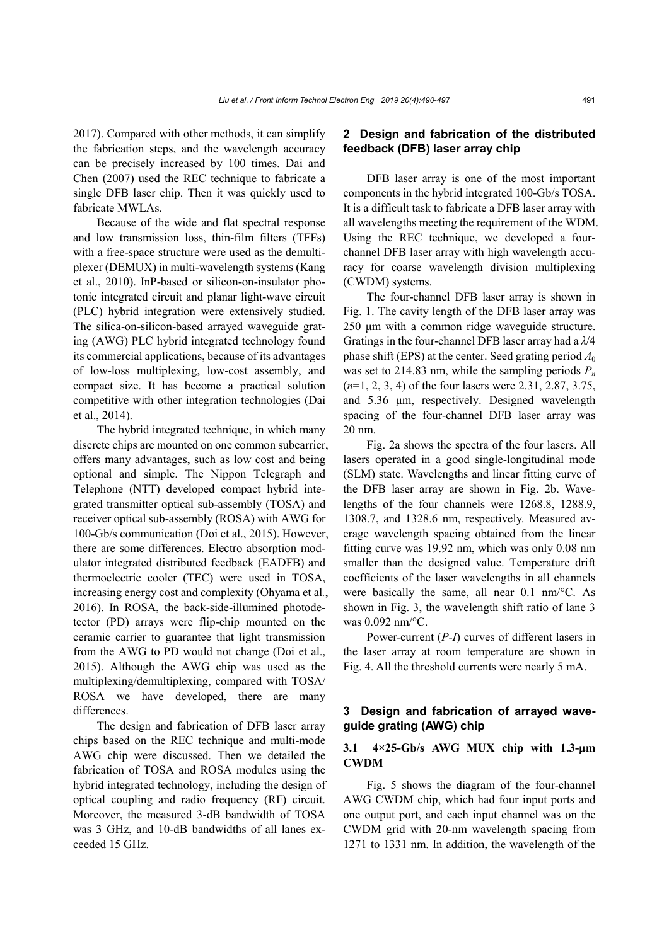2017). Compared with other methods, it can simplify the fabrication steps, and the wavelength accuracy can be precisely increased by 100 times. Dai and Chen (2007) used the REC technique to fabricate a single DFB laser chip. Then it was quickly used to fabricate MWLAs.

Because of the wide and flat spectral response and low transmission loss, thin-film filters (TFFs) with a free-space structure were used as the demultiplexer (DEMUX) in multi-wavelength systems (Kang et al., 2010). InP-based or silicon-on-insulator photonic integrated circuit and planar light-wave circuit (PLC) hybrid integration were extensively studied. The silica-on-silicon-based arrayed waveguide grating (AWG) PLC hybrid integrated technology found its commercial applications, because of its advantages of low-loss multiplexing, low-cost assembly, and compact size. It has become a practical solution competitive with other integration technologies (Dai et al., 2014).

The hybrid integrated technique, in which many discrete chips are mounted on one common subcarrier, offers many advantages, such as low cost and being optional and simple. The Nippon Telegraph and Telephone (NTT) developed compact hybrid integrated transmitter optical sub-assembly (TOSA) and receiver optical sub-assembly (ROSA) with AWG for 100-Gb/s communication (Doi et al., 2015). However, there are some differences. Electro absorption modulator integrated distributed feedback (EADFB) and thermoelectric cooler (TEC) were used in TOSA, increasing energy cost and complexity (Ohyama et al*.*, 2016). In ROSA, the back-side-illumined photodetector (PD) arrays were flip-chip mounted on the ceramic carrier to guarantee that light transmission from the AWG to PD would not change (Doi et al., 2015). Although the AWG chip was used as the multiplexing/demultiplexing, compared with TOSA/ ROSA we have developed, there are many differences.

The design and fabrication of DFB laser array chips based on the REC technique and multi-mode AWG chip were discussed. Then we detailed the fabrication of TOSA and ROSA modules using the hybrid integrated technology, including the design of optical coupling and radio frequency (RF) circuit. Moreover, the measured 3-dB bandwidth of TOSA was 3 GHz, and 10-dB bandwidths of all lanes exceeded 15 GHz.

# **2 Design and fabrication of the distributed feedback (DFB) laser array chip**

DFB laser array is one of the most important components in the hybrid integrated 100-Gb/s TOSA. It is a difficult task to fabricate a DFB laser array with all wavelengths meeting the requirement of the WDM. Using the REC technique, we developed a fourchannel DFB laser array with high wavelength accuracy for coarse wavelength division multiplexing (CWDM) systems.

The four-channel DFB laser array is shown in Fig. 1. The cavity length of the DFB laser array was 250 μm with a common ridge waveguide structure. Gratings in the four-channel DFB laser array had a *λ*/4 phase shift (EPS) at the center. Seed grating period  $Λ_0$ was set to 214.83 nm, while the sampling periods *Pn* (*n*=1, 2, 3, 4) of the four lasers were 2.31, 2.87, 3.75, and 5.36 μm, respectively. Designed wavelength spacing of the four-channel DFB laser array was 20 nm.

Fig. 2a shows the spectra of the four lasers. All lasers operated in a good single-longitudinal mode (SLM) state. Wavelengths and linear fitting curve of the DFB laser array are shown in Fig. 2b. Wavelengths of the four channels were 1268.8, 1288.9, 1308.7, and 1328.6 nm, respectively. Measured average wavelength spacing obtained from the linear fitting curve was 19.92 nm, which was only 0.08 nm smaller than the designed value. Temperature drift coefficients of the laser wavelengths in all channels were basically the same, all near 0.1 nm/°C. As shown in Fig. 3, the wavelength shift ratio of lane 3 was 0.092 nm/°C.

Power-current (*P*-*I*) curves of different lasers in the laser array at room temperature are shown in Fig. 4. All the threshold currents were nearly 5 mA.

# **3 Design and fabrication of arrayed waveguide grating (AWG) chip**

## **3.1 4×25-Gb/s AWG MUX chip with 1.3-μm CWDM**

Fig. 5 shows the diagram of the four-channel AWG CWDM chip, which had four input ports and one output port, and each input channel was on the CWDM grid with 20-nm wavelength spacing from 1271 to 1331 nm. In addition, the wavelength of the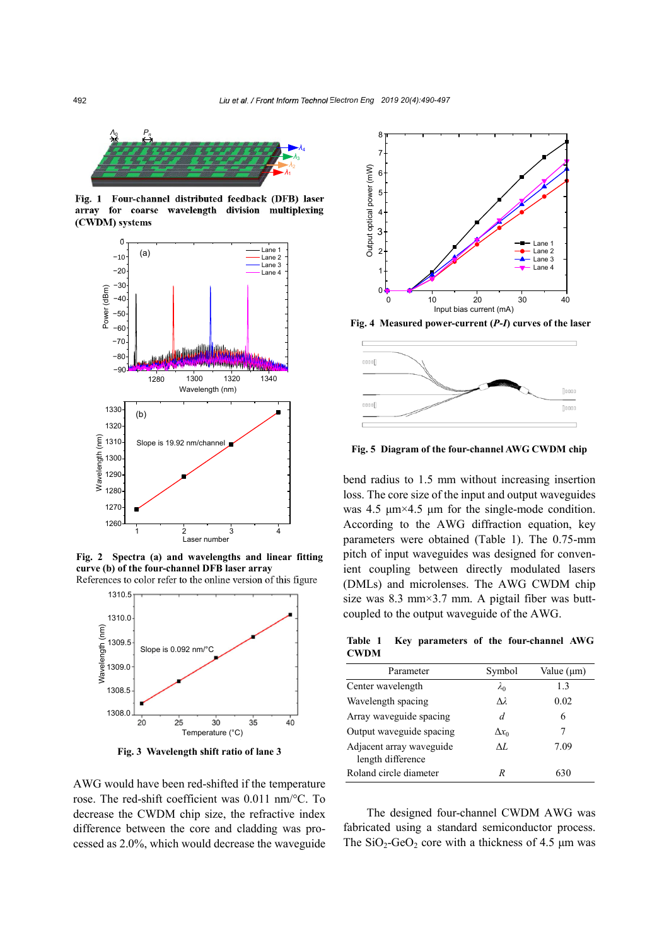

**Fig. 1 Four-channel distributed feedback (DFB) laser array for coarse wavelength division multiplexing (CWDM) systems**



**Fig. 2 Spectra (a) and wavelengths and linear fitting curve (b) of the four-channel DFB laser array** References to color refer to the online version of this figure



**Fig. 3 Wavelength shift ratio of lane 3**

AWG would have been red-shifted if the temperature rose. The red-shift coefficient was 0.011 nm/°C. To decrease the CWDM chip size, the refractive index difference between the core and cladding was processed as 2.0%, which would decrease the waveguide



**Fig. 4 Measured power-current (***P***-***I***) curves of the laser** 



**Fig. 5 Diagram of the four-channel AWG CWDM chip**

bend radius to 1.5 mm without increasing insertion loss. The core size of the input and output waveguides was 4.5  $\mu$ m×4.5  $\mu$ m for the single-mode condition. According to the AWG diffraction equation, key parameters were obtained (Table 1). The 0.75-mm pitch of input waveguides was designed for convenient coupling between directly modulated lasers (DMLs) and microlenses. The AWG CWDM chip size was 8.3 mm $\times$ 3.7 mm. A pigtail fiber was buttcoupled to the output waveguide of the AWG.

**Table 1 Key parameters of the four-channel AWG CWDM**

| Parameter                                     | Symbol       | Value $(\mu m)$ |
|-----------------------------------------------|--------------|-----------------|
| Center wavelength                             | $\lambda_0$  | 13              |
| Wavelength spacing                            | Δì.          | 0.02            |
| Array waveguide spacing                       | d            | 6               |
| Output waveguide spacing                      | $\Delta x_0$ | 7               |
| Adjacent array waveguide<br>length difference | AL           | 7.09            |
| Roland circle diameter                        | R            | 630             |

The designed four-channel CWDM AWG was fabricated using a standard semiconductor process. The  $SiO_2$ -GeO<sub>2</sub> core with a thickness of 4.5  $\mu$ m was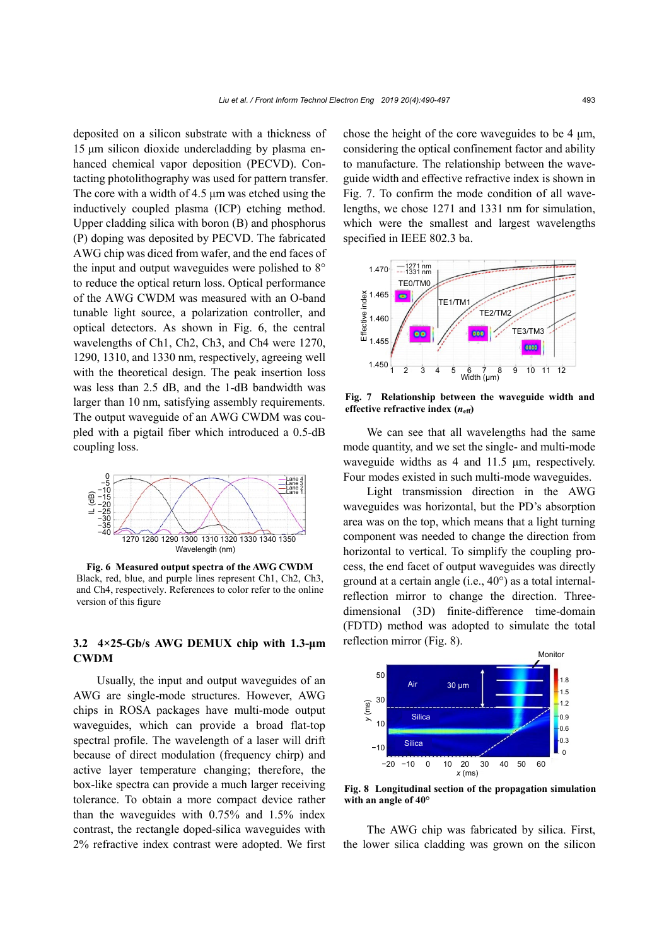deposited on a silicon substrate with a thickness of 15 μm silicon dioxide undercladding by plasma enhanced chemical vapor deposition (PECVD). Contacting photolithography was used for pattern transfer. The core with a width of 4.5 μm was etched using the inductively coupled plasma (ICP) etching method. Upper cladding silica with boron (B) and phosphorus (P) doping was deposited by PECVD. The fabricated AWG chip was diced from wafer, and the end faces of the input and output waveguides were polished to 8° to reduce the optical return loss. Optical performance of the AWG CWDM was measured with an O-band tunable light source, a polarization controller, and optical detectors. As shown in Fig. 6, the central wavelengths of Ch1, Ch2, Ch3, and Ch4 were 1270, 1290, 1310, and 1330 nm, respectively, agreeing well with the theoretical design. The peak insertion loss was less than 2.5 dB, and the 1-dB bandwidth was larger than 10 nm, satisfying assembly requirements. The output waveguide of an AWG CWDM was coupled with a pigtail fiber which introduced a 0.5-dB coupling loss.



**Fig. 6 Measured output spectra of the AWG CWDM** Black, red, blue, and purple lines represent Ch1, Ch2, Ch3, and Ch4, respectively. References to color refer to the online version of this figure

## **3.2 4×25-Gb/s AWG DEMUX chip with 1.3-μm CWDM**

Usually, the input and output waveguides of an AWG are single-mode structures. However, AWG chips in ROSA packages have multi-mode output waveguides, which can provide a broad flat-top spectral profile. The wavelength of a laser will drift because of direct modulation (frequency chirp) and active layer temperature changing; therefore, the box-like spectra can provide a much larger receiving tolerance. To obtain a more compact device rather than the waveguides with 0.75% and 1.5% index contrast, the rectangle doped-silica waveguides with 2% refractive index contrast were adopted. We first chose the height of the core waveguides to be 4 μm, considering the optical confinement factor and ability to manufacture. The relationship between the waveguide width and effective refractive index is shown in Fig. 7. To confirm the mode condition of all wavelengths, we chose 1271 and 1331 nm for simulation, which were the smallest and largest wavelengths specified in IEEE 802.3 ba.



**Fig. 7 Relationship between the waveguide width and effective refractive index**  $(n_{\text{eff}})$ 

We can see that all wavelengths had the same mode quantity, and we set the single- and multi-mode waveguide widths as 4 and 11.5 μm, respectively. Four modes existed in such multi-mode waveguides.

Light transmission direction in the AWG waveguides was horizontal, but the PD's absorption area was on the top, which means that a light turning component was needed to change the direction from horizontal to vertical. To simplify the coupling process, the end facet of output waveguides was directly ground at a certain angle (i.e., 40°) as a total internalreflection mirror to change the direction. Threedimensional (3D) finite-difference time-domain (FDTD) method was adopted to simulate the total reflection mirror (Fig. 8).



**Fig. 8 Longitudinal section of the propagation simulation with an angle of 40°**

The AWG chip was fabricated by silica. First, the lower silica cladding was grown on the silicon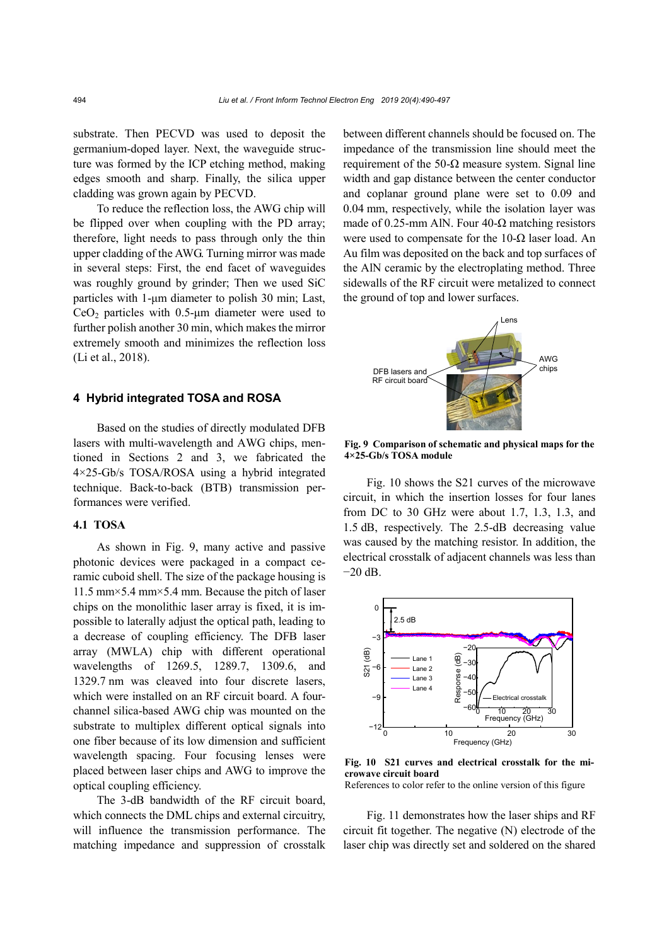substrate. Then PECVD was used to deposit the germanium-doped layer. Next, the waveguide structure was formed by the ICP etching method, making edges smooth and sharp. Finally, the silica upper cladding was grown again by PECVD.

To reduce the reflection loss, the AWG chip will be flipped over when coupling with the PD array; therefore, light needs to pass through only the thin upper cladding of the AWG. Turning mirror was made in several steps: First, the end facet of waveguides was roughly ground by grinder; Then we used SiC particles with 1-μm diameter to polish 30 min; Last,  $CeO<sub>2</sub>$  particles with 0.5-µm diameter were used to further polish another 30 min, which makes the mirror extremely smooth and minimizes the reflection loss (Li et al., 2018).

# **4 Hybrid integrated TOSA and ROSA**

Based on the studies of directly modulated DFB lasers with multi-wavelength and AWG chips, mentioned in Sections 2 and 3, we fabricated the 4×25-Gb/s TOSA/ROSA using a hybrid integrated technique. Back-to-back (BTB) transmission performances were verified.

#### **4.1 TOSA**

As shown in Fig. 9, many active and passive photonic devices were packaged in a compact ceramic cuboid shell. The size of the package housing is 11.5 mm×5.4 mm×5.4 mm. Because the pitch of laser chips on the monolithic laser array is fixed, it is impossible to laterally adjust the optical path, leading to a decrease of coupling efficiency. The DFB laser array (MWLA) chip with different operational wavelengths of 1269.5, 1289.7, 1309.6, and 1329.7 nm was cleaved into four discrete lasers, which were installed on an RF circuit board. A fourchannel silica-based AWG chip was mounted on the substrate to multiplex different optical signals into one fiber because of its low dimension and sufficient wavelength spacing. Four focusing lenses were placed between laser chips and AWG to improve the optical coupling efficiency.

The 3-dB bandwidth of the RF circuit board, which connects the DML chips and external circuitry, will influence the transmission performance. The matching impedance and suppression of crosstalk

between different channels should be focused on. The impedance of the transmission line should meet the requirement of the 50- $Ω$  measure system. Signal line width and gap distance between the center conductor and coplanar ground plane were set to 0.09 and 0.04 mm, respectively, while the isolation layer was made of 0.25-mm AlN. Four 40- $\Omega$  matching resistors were used to compensate for the  $10-\Omega$  laser load. An Au film was deposited on the back and top surfaces of the AlN ceramic by the electroplating method. Three sidewalls of the RF circuit were metalized to connect the ground of top and lower surfaces.



**Fig. 9 Comparison of schematic and physical maps for the 4×25-Gb/s TOSA module**

Fig. 10 shows the S21 curves of the microwave circuit, in which the insertion losses for four lanes from DC to 30 GHz were about 1.7, 1.3, 1.3, and 1.5 dB, respectively. The 2.5-dB decreasing value was caused by the matching resistor. In addition, the electrical crosstalk of adjacent channels was less than −20 dB.



**Fig. 10 S21 curves and electrical crosstalk for the microwave circuit board**

References to color refer to the online version of this figure

Fig. 11 demonstrates how the laser ships and RF circuit fit together. The negative (N) electrode of the laser chip was directly set and soldered on the shared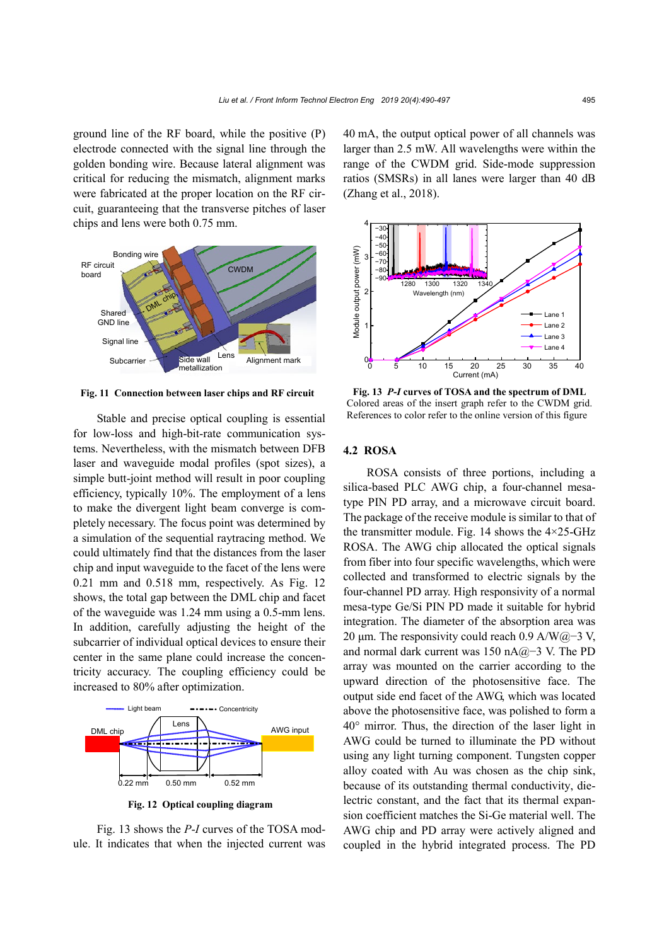ground line of the RF board, while the positive (P) electrode connected with the signal line through the golden bonding wire. Because lateral alignment was critical for reducing the mismatch, alignment marks were fabricated at the proper location on the RF circuit, guaranteeing that the transverse pitches of laser chips and lens were both 0.75 mm.



**Fig. 11 Connection between laser chips and RF circuit**

Stable and precise optical coupling is essential for low-loss and high-bit-rate communication systems. Nevertheless, with the mismatch between DFB laser and waveguide modal profiles (spot sizes), a simple butt-joint method will result in poor coupling efficiency, typically 10%. The employment of a lens to make the divergent light beam converge is completely necessary. The focus point was determined by a simulation of the sequential raytracing method. We could ultimately find that the distances from the laser chip and input waveguide to the facet of the lens were 0.21 mm and 0.518 mm, respectively. As Fig. 12 shows, the total gap between the DML chip and facet of the waveguide was 1.24 mm using a 0.5-mm lens. In addition, carefully adjusting the height of the subcarrier of individual optical devices to ensure their center in the same plane could increase the concentricity accuracy. The coupling efficiency could be increased to 80% after optimization.



**Fig. 12 Optical coupling diagram**

Fig. 13 shows the *P*-*I* curves of the TOSA module. It indicates that when the injected current was 40 mA, the output optical power of all channels was larger than 2.5 mW. All wavelengths were within the range of the CWDM grid. Side-mode suppression ratios (SMSRs) in all lanes were larger than 40 dB (Zhang et al., 2018).



**Fig. 13** *P***-***I* **curves of TOSA and the spectrum of DML** Colored areas of the insert graph refer to the CWDM grid. References to color refer to the online version of this figure

## **4.2 ROSA**

ROSA consists of three portions, including a silica-based PLC AWG chip, a four-channel mesatype PIN PD array, and a microwave circuit board. The package of the receive module is similar to that of the transmitter module. Fig. 14 shows the  $4\times25$ -GHz ROSA. The AWG chip allocated the optical signals from fiber into four specific wavelengths, which were collected and transformed to electric signals by the four-channel PD array. High responsivity of a normal mesa-type Ge/Si PIN PD made it suitable for hybrid integration. The diameter of the absorption area was 20 μm. The responsivity could reach 0.9 A/W@−3 V, and normal dark current was 150 nA@−3 V. The PD array was mounted on the carrier according to the upward direction of the photosensitive face. The output side end facet of the AWG, which was located above the photosensitive face, was polished to form a 40° mirror. Thus, the direction of the laser light in AWG could be turned to illuminate the PD without using any light turning component. Tungsten copper alloy coated with Au was chosen as the chip sink, because of its outstanding thermal conductivity, dielectric constant, and the fact that its thermal expansion coefficient matches the Si-Ge material well. The AWG chip and PD array were actively aligned and coupled in the hybrid integrated process. The PD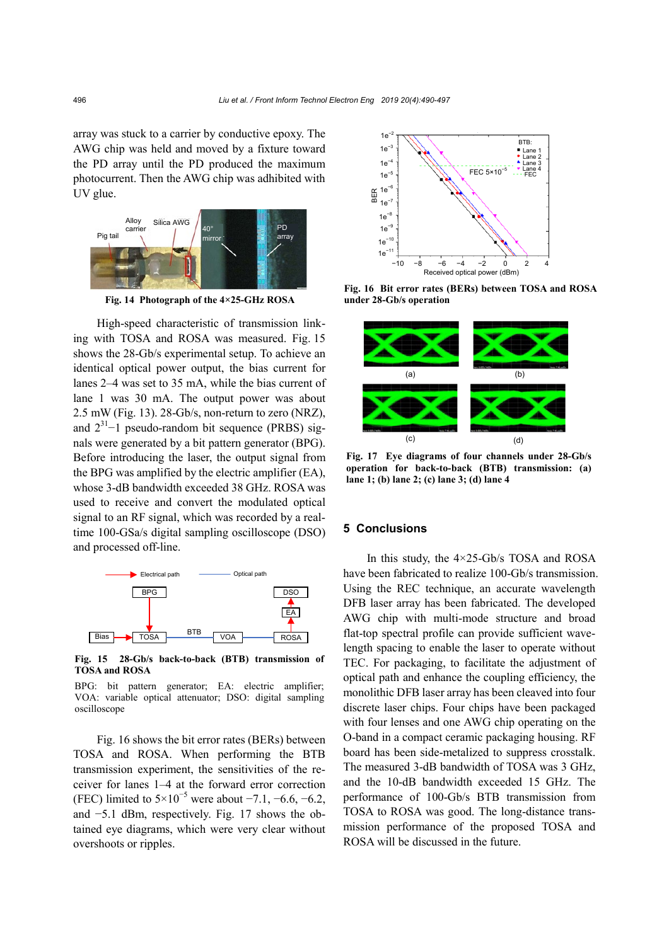array was stuck to a carrier by conductive epoxy. The AWG chip was held and moved by a fixture toward the PD array until the PD produced the maximum photocurrent. Then the AWG chip was adhibited with UV glue.



**Fig. 14 Photograph of the 4×25-GHz ROSA**

High-speed characteristic of transmission linking with TOSA and ROSA was measured. Fig. 15 shows the 28-Gb/s experimental setup. To achieve an identical optical power output, the bias current for lanes 2–4 was set to 35 mA, while the bias current of lane 1 was 30 mA. The output power was about 2.5 mW (Fig. 13). 28-Gb/s, non-return to zero (NRZ), and  $2^{31}$ -1 pseudo-random bit sequence (PRBS) signals were generated by a bit pattern generator (BPG). Before introducing the laser, the output signal from the BPG was amplified by the electric amplifier (EA), whose 3-dB bandwidth exceeded 38 GHz. ROSA was used to receive and convert the modulated optical signal to an RF signal, which was recorded by a realtime 100-GSa/s digital sampling oscilloscope (DSO) and processed off-line.



**Fig. 15 28-Gb/s back-to-back (BTB) transmission of TOSA and ROSA**

BPG: bit pattern generator; EA: electric amplifier; VOA: variable optical attenuator; DSO: digital sampling oscilloscope

Fig. 16 shows the bit error rates (BERs) between TOSA and ROSA. When performing the BTB transmission experiment, the sensitivities of the receiver for lanes 1–4 at the forward error correction (FEC) limited to  $5 \times 10^{-5}$  were about -7.1, -6.6, -6.2, and −5.1 dBm, respectively. Fig. 17 shows the obtained eye diagrams, which were very clear without overshoots or ripples.



**Fig. 16 Bit error rates (BERs) between TOSA and ROSA under 28-Gb/s operation**



**Fig. 17 Eye diagrams of four channels under 28-Gb/s operation for back-to-back (BTB) transmission: (a) lane 1; (b) lane 2; (c) lane 3; (d) lane 4**

## **5 Conclusions**

In this study, the 4×25-Gb/s TOSA and ROSA have been fabricated to realize 100-Gb/s transmission. Using the REC technique, an accurate wavelength DFB laser array has been fabricated. The developed AWG chip with multi-mode structure and broad flat-top spectral profile can provide sufficient wavelength spacing to enable the laser to operate without TEC. For packaging, to facilitate the adjustment of optical path and enhance the coupling efficiency, the monolithic DFB laser array has been cleaved into four discrete laser chips. Four chips have been packaged with four lenses and one AWG chip operating on the O-band in a compact ceramic packaging housing. RF board has been side-metalized to suppress crosstalk. The measured 3-dB bandwidth of TOSA was 3 GHz, and the 10-dB bandwidth exceeded 15 GHz. The performance of 100-Gb/s BTB transmission from TOSA to ROSA was good. The long-distance transmission performance of the proposed TOSA and ROSA will be discussed in the future.